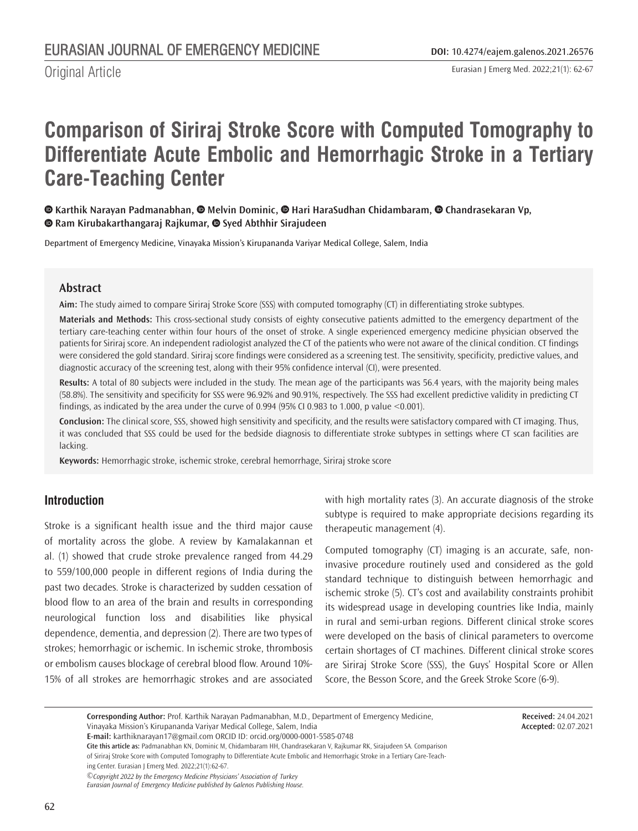Original Article

# **Comparison of Siriraj Stroke Score with Computed Tomography to Differentiate Acute Embolic and Hemorrhagic Stroke in a Tertiary Care-Teaching Center**

#### **Karthik Narayan Padmanabhan,Melvin Dominic,Hari HaraSudhan Chidambaram,Chandrasekaran Vp, Ram Kirubakarthangaraj Rajkumar,Syed Abthhir Sirajudeen**

Department of Emergency Medicine, Vinayaka Mission's Kirupananda Variyar Medical College, Salem, India

#### **Abstract**

**Aim:** The study aimed to compare Siriraj Stroke Score (SSS) with computed tomography (CT) in differentiating stroke subtypes.

**Materials and Methods:** This cross-sectional study consists of eighty consecutive patients admitted to the emergency department of the tertiary care-teaching center within four hours of the onset of stroke. A single experienced emergency medicine physician observed the patients for Siriraj score. An independent radiologist analyzed the CT of the patients who were not aware of the clinical condition. CT findings were considered the gold standard. Siriraj score findings were considered as a screening test. The sensitivity, specificity, predictive values, and diagnostic accuracy of the screening test, along with their 95% confidence interval (CI), were presented.

**Results:** A total of 80 subjects were included in the study. The mean age of the participants was 56.4 years, with the majority being males (58.8%). The sensitivity and specificity for SSS were 96.92% and 90.91%, respectively. The SSS had excellent predictive validity in predicting CT findings, as indicated by the area under the curve of 0.994 (95% CI 0.983 to 1.000, p value <0.001).

**Conclusion:** The clinical score, SSS, showed high sensitivity and specificity, and the results were satisfactory compared with CT imaging. Thus, it was concluded that SSS could be used for the bedside diagnosis to differentiate stroke subtypes in settings where CT scan facilities are lacking.

**Keywords:** Hemorrhagic stroke, ischemic stroke, cerebral hemorrhage, Siriraj stroke score

## **Introduction**

Stroke is a significant health issue and the third major cause of mortality across the globe. A review by Kamalakannan et al. (1) showed that crude stroke prevalence ranged from 44.29 to 559/100,000 people in different regions of India during the past two decades. Stroke is characterized by sudden cessation of blood flow to an area of the brain and results in corresponding neurological function loss and disabilities like physical dependence, dementia, and depression (2). There are two types of strokes; hemorrhagic or ischemic. In ischemic stroke, thrombosis or embolism causes blockage of cerebral blood flow. Around 10%- 15% of all strokes are hemorrhagic strokes and are associated

with high mortality rates (3). An accurate diagnosis of the stroke subtype is required to make appropriate decisions regarding its therapeutic management (4).

Computed tomography (CT) imaging is an accurate, safe, noninvasive procedure routinely used and considered as the gold standard technique to distinguish between hemorrhagic and ischemic stroke (5). CT's cost and availability constraints prohibit its widespread usage in developing countries like India, mainly in rural and semi-urban regions. Different clinical stroke scores were developed on the basis of clinical parameters to overcome certain shortages of CT machines. Different clinical stroke scores are Siriraj Stroke Score (SSS), the Guys' Hospital Score or Allen Score, the Besson Score, and the Greek Stroke Score (6-9).

> **Received:** 24.04.2021 **Accepted:** 02.07.2021

**Corresponding Author:** Prof. Karthik Narayan Padmanabhan, M.D., Department of Emergency Medicine, Vinayaka Mission's Kirupananda Variyar Medical College, Salem, India

**E-mail:** karthiknarayan17@gmail.com ORCID ID: orcid.org/0000-0001-5585-0748

**Cite this article as:** Padmanabhan KN, Dominic M, Chidambaram HH, Chandrasekaran V, Rajkumar RK, Sirajudeen SA. Comparison of Siriraj Stroke Score with Computed Tomography to Differentiate Acute Embolic and Hemorrhagic Stroke in a Tertiary Care-Teaching Center. Eurasian J Emerg Med. 2022;21(1):62-67.

*©Copyright 2022 by the Emergency Medicine Physicians' Association of Turkey Eurasian Journal of Emergency Medicine published by Galenos Publishing House.*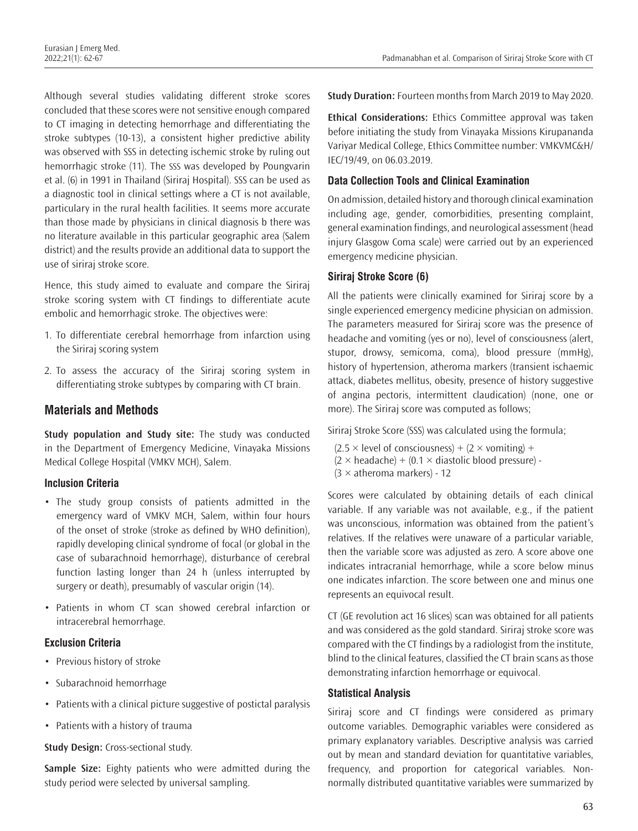Although several studies validating different stroke scores concluded that these scores were not sensitive enough compared to CT imaging in detecting hemorrhage and differentiating the stroke subtypes (10-13), a consistent higher predictive ability was observed with SSS in detecting ischemic stroke by ruling out hemorrhagic stroke (11). The SSS was developed by Poungvarin et al. (6) in 1991 in Thailand (Siriraj Hospital). SSS can be used as a diagnostic tool in clinical settings where a CT is not available, particulary in the rural health facilities. It seems more accurate than those made by physicians in clinical diagnosis b there was no literature available in this particular geographic area (Salem district) and the results provide an additional data to support the use of siriraj stroke score.

Hence, this study aimed to evaluate and compare the Siriraj stroke scoring system with CT findings to differentiate acute embolic and hemorrhagic stroke. The objectives were:

- 1. To differentiate cerebral hemorrhage from infarction using the Siriraj scoring system
- 2. To assess the accuracy of the Siriraj scoring system in differentiating stroke subtypes by comparing with CT brain.

# **Materials and Methods**

**Study population and Study site:** The study was conducted in the Department of Emergency Medicine, Vinayaka Missions Medical College Hospital (VMKV MCH), Salem.

## **Inclusion Criteria**

- The study group consists of patients admitted in the emergency ward of VMKV MCH, Salem, within four hours of the onset of stroke (stroke as defined by WHO definition), rapidly developing clinical syndrome of focal (or global in the case of subarachnoid hemorrhage), disturbance of cerebral function lasting longer than 24 h (unless interrupted by surgery or death), presumably of vascular origin (14).
- Patients in whom CT scan showed cerebral infarction or intracerebral hemorrhage.

## **Exclusion Criteria**

- Previous history of stroke
- Subarachnoid hemorrhage
- Patients with a clinical picture suggestive of postictal paralysis
- Patients with a history of trauma

#### **Study Design:** Cross-sectional study.

**Sample Size:** Eighty patients who were admitted during the study period were selected by universal sampling.

**Study Duration:** Fourteen months from March 2019 to May 2020.

**Ethical Considerations:** Ethics Committee approval was taken before initiating the study from Vinayaka Missions Kirupananda Variyar Medical College, Ethics Committee number: VMKVMC&H/ IEC/19/49, on 06.03.2019.

## **Data Collection Tools and Clinical Examination**

On admission, detailed history and thorough clinical examination including age, gender, comorbidities, presenting complaint, general examination findings, and neurological assessment (head injury Glasgow Coma scale) were carried out by an experienced emergency medicine physician.

# **Siriraj Stroke Score (6)**

All the patients were clinically examined for Siriraj score by a single experienced emergency medicine physician on admission. The parameters measured for Siriraj score was the presence of headache and vomiting (yes or no), level of consciousness (alert, stupor, drowsy, semicoma, coma), blood pressure (mmHg), history of hypertension, atheroma markers (transient ischaemic attack, diabetes mellitus, obesity, presence of history suggestive of angina pectoris, intermittent claudication) (none, one or more). The Siriraj score was computed as follows;

Siriraj Stroke Score (SSS) was calculated using the formula;

 $(2.5 \times$  level of consciousness) +  $(2 \times$  vomiting) +  $(2 \times \text{headache}) + (0.1 \times \text{diastolic blood pressure}) (3 \times$  atheroma markers) - 12

Scores were calculated by obtaining details of each clinical variable. If any variable was not available, e.g., if the patient was unconscious, information was obtained from the patient's relatives. If the relatives were unaware of a particular variable, then the variable score was adjusted as zero. A score above one indicates intracranial hemorrhage, while a score below minus one indicates infarction. The score between one and minus one represents an equivocal result.

CT (GE revolution act 16 slices) scan was obtained for all patients and was considered as the gold standard. Siriraj stroke score was compared with the CT findings by a radiologist from the institute, blind to the clinical features, classified the CT brain scans as those demonstrating infarction hemorrhage or equivocal.

## **Statistical Analysis**

Siriraj score and CT findings were considered as primary outcome variables. Demographic variables were considered as primary explanatory variables. Descriptive analysis was carried out by mean and standard deviation for quantitative variables, frequency, and proportion for categorical variables. Nonnormally distributed quantitative variables were summarized by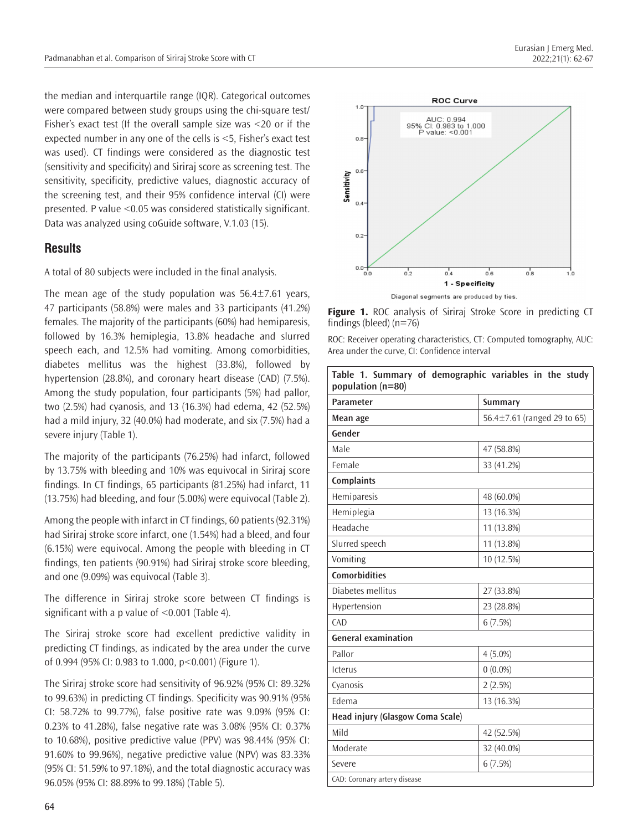the median and interquartile range (IQR). Categorical outcomes were compared between study groups using the chi-square test/ Fisher's exact test (If the overall sample size was <20 or if the expected number in any one of the cells is <5, Fisher's exact test was used). CT findings were considered as the diagnostic test (sensitivity and specificity) and Siriraj score as screening test. The sensitivity, specificity, predictive values, diagnostic accuracy of the screening test, and their 95% confidence interval (CI) were presented. P value <0.05 was considered statistically significant. Data was analyzed using coGuide software, V.1.03 (15).

# **Results**

A total of 80 subjects were included in the final analysis.

The mean age of the study population was  $56.4 \pm 7.61$  years, 47 participants (58.8%) were males and 33 participants (41.2%) females. The majority of the participants (60%) had hemiparesis, followed by 16.3% hemiplegia, 13.8% headache and slurred speech each, and 12.5% had vomiting. Among comorbidities, diabetes mellitus was the highest (33.8%), followed by hypertension (28.8%), and coronary heart disease (CAD) (7.5%). Among the study population, four participants (5%) had pallor, two (2.5%) had cyanosis, and 13 (16.3%) had edema, 42 (52.5%) had a mild injury, 32 (40.0%) had moderate, and six (7.5%) had a severe injury (Table 1).

The majority of the participants (76.25%) had infarct, followed by 13.75% with bleeding and 10% was equivocal in Siriraj score findings. In CT findings, 65 participants (81.25%) had infarct, 11 (13.75%) had bleeding, and four (5.00%) were equivocal (Table 2).

Among the people with infarct in CT findings, 60 patients (92.31%) had Siriraj stroke score infarct, one (1.54%) had a bleed, and four (6.15%) were equivocal. Among the people with bleeding in CT findings, ten patients (90.91%) had Siriraj stroke score bleeding, and one (9.09%) was equivocal (Table 3).

The difference in Siriraj stroke score between CT findings is significant with a p value of <0.001 (Table 4).

The Siriraj stroke score had excellent predictive validity in predicting CT findings, as indicated by the area under the curve of 0.994 (95% CI: 0.983 to 1.000, p<0.001) (Figure 1).

The Siriraj stroke score had sensitivity of 96.92% (95% CI: 89.32% to 99.63%) in predicting CT findings. Specificity was 90.91% (95% CI: 58.72% to 99.77%), false positive rate was 9.09% (95% CI: 0.23% to 41.28%), false negative rate was 3.08% (95% CI: 0.37% to 10.68%), positive predictive value (PPV) was 98.44% (95% CI: 91.60% to 99.96%), negative predictive value (NPV) was 83.33% (95% CI: 51.59% to 97.18%), and the total diagnostic accuracy was 96.05% (95% CI: 88.89% to 99.18%) (Table 5).



**Figure 1.** ROC analysis of Siriraj Stroke Score in predicting CT findings (bleed) (n=76)

ROC: Receiver operating characteristics, CT: Computed tomography, AUC: Area under the curve, CI: Confidence interval

| Table 1. Summary of demographic variables in the study<br>population (n=80) |                                   |  |  |
|-----------------------------------------------------------------------------|-----------------------------------|--|--|
| Parameter                                                                   | Summary                           |  |  |
| Mean age                                                                    | 56.4 $\pm$ 7.61 (ranged 29 to 65) |  |  |
| Gender                                                                      |                                   |  |  |
| Male                                                                        | 47 (58.8%)                        |  |  |
| Female                                                                      | 33 (41.2%)                        |  |  |
| <b>Complaints</b>                                                           |                                   |  |  |
| Hemiparesis                                                                 | 48 (60.0%)                        |  |  |
| Hemiplegia                                                                  | 13 (16.3%)                        |  |  |
| Headache                                                                    | 11 (13.8%)                        |  |  |
| Slurred speech                                                              | 11 (13.8%)                        |  |  |
| Vomiting                                                                    | 10 (12.5%)                        |  |  |
| <b>Comorbidities</b>                                                        |                                   |  |  |
| Diabetes mellitus                                                           | 27 (33.8%)                        |  |  |
| Hypertension                                                                | 23 (28.8%)                        |  |  |
| CAD                                                                         | 6(7.5%)                           |  |  |
| <b>General examination</b>                                                  |                                   |  |  |
| Pallor                                                                      | $4(5.0\%)$                        |  |  |
| <b>Icterus</b>                                                              | $0(0.0\%)$                        |  |  |
| Cyanosis                                                                    | 2(2.5%)                           |  |  |
| Edema                                                                       | 13 (16.3%)                        |  |  |
| Head injury (Glasgow Coma Scale)                                            |                                   |  |  |
| Mild                                                                        | 42 (52.5%)                        |  |  |
| Moderate                                                                    | 32 (40.0%)                        |  |  |
| Severe                                                                      | 6(7.5%)                           |  |  |
| CAD: Coronary artery disease                                                |                                   |  |  |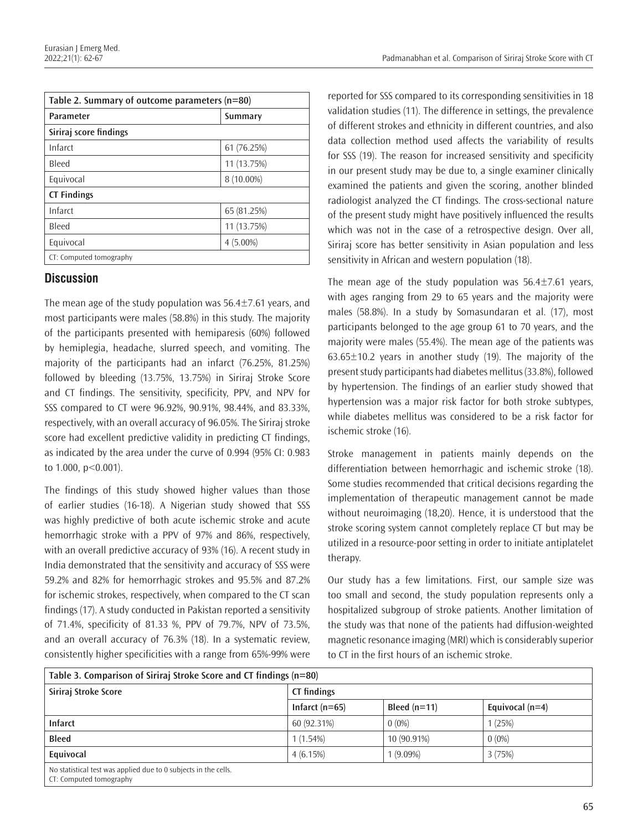| Table 2. Summary of outcome parameters (n=80) |             |  |  |  |
|-----------------------------------------------|-------------|--|--|--|
| <b>Parameter</b>                              | Summary     |  |  |  |
| Siriraj score findings                        |             |  |  |  |
| Infarct                                       | 61 (76.25%) |  |  |  |
| Bleed                                         | 11 (13.75%) |  |  |  |
| Equivocal                                     | 8 (10.00%)  |  |  |  |
| <b>CT Findings</b>                            |             |  |  |  |
| Infarct                                       | 65 (81.25%) |  |  |  |
| Bleed                                         | 11 (13.75%) |  |  |  |
| Equivocal                                     | $4(5.00\%)$ |  |  |  |
| CT: Computed tomography                       |             |  |  |  |

# **Discussion**

The mean age of the study population was  $56.4\pm7.61$  years, and most participants were males (58.8%) in this study. The majority of the participants presented with hemiparesis (60%) followed by hemiplegia, headache, slurred speech, and vomiting. The majority of the participants had an infarct (76.25%, 81.25%) followed by bleeding (13.75%, 13.75%) in Siriraj Stroke Score and CT findings. The sensitivity, specificity, PPV, and NPV for SSS compared to CT were 96.92%, 90.91%, 98.44%, and 83.33%, respectively, with an overall accuracy of 96.05%. The Siriraj stroke score had excellent predictive validity in predicting CT findings, as indicated by the area under the curve of 0.994 (95% CI: 0.983 to 1.000, p<0.001).

The findings of this study showed higher values than those of earlier studies (16-18). A Nigerian study showed that SSS was highly predictive of both acute ischemic stroke and acute hemorrhagic stroke with a PPV of 97% and 86%, respectively, with an overall predictive accuracy of 93% (16). A recent study in India demonstrated that the sensitivity and accuracy of SSS were 59.2% and 82% for hemorrhagic strokes and 95.5% and 87.2% for ischemic strokes, respectively, when compared to the CT scan findings (17). A study conducted in Pakistan reported a sensitivity of 71.4%, specificity of 81.33 %, PPV of 79.7%, NPV of 73.5%, and an overall accuracy of 76.3% (18). In a systematic review, consistently higher specificities with a range from 65%-99% were

reported for SSS compared to its corresponding sensitivities in 18 validation studies (11). The difference in settings, the prevalence of different strokes and ethnicity in different countries, and also data collection method used affects the variability of results for SSS (19). The reason for increased sensitivity and specificity in our present study may be due to, a single examiner clinically examined the patients and given the scoring, another blinded radiologist analyzed the CT findings. The cross-sectional nature of the present study might have positively influenced the results which was not in the case of a retrospective design. Over all, Siriraj score has better sensitivity in Asian population and less sensitivity in African and western population (18).

The mean age of the study population was  $56.4 \pm 7.61$  years, with ages ranging from 29 to 65 years and the majority were males (58.8%). In a study by Somasundaran et al. (17), most participants belonged to the age group 61 to 70 years, and the majority were males (55.4%). The mean age of the patients was 63.65±10.2 years in another study (19). The majority of the present study participants had diabetes mellitus (33.8%), followed by hypertension. The findings of an earlier study showed that hypertension was a major risk factor for both stroke subtypes, while diabetes mellitus was considered to be a risk factor for ischemic stroke (16).

Stroke management in patients mainly depends on the differentiation between hemorrhagic and ischemic stroke (18). Some studies recommended that critical decisions regarding the implementation of therapeutic management cannot be made without neuroimaging (18,20). Hence, it is understood that the stroke scoring system cannot completely replace CT but may be utilized in a resource-poor setting in order to initiate antiplatelet therapy.

Our study has a few limitations. First, our sample size was too small and second, the study population represents only a hospitalized subgroup of stroke patients. Another limitation of the study was that none of the patients had diffusion-weighted magnetic resonance imaging (MRI) which is considerably superior to CT in the first hours of an ischemic stroke.

| Table 3. Comparison of Siriraj Stroke Score and CT findings (n=80)                                                |                    |                |                   |  |
|-------------------------------------------------------------------------------------------------------------------|--------------------|----------------|-------------------|--|
| Siriraj Stroke Score                                                                                              | <b>CT</b> findings |                |                   |  |
|                                                                                                                   | Infarct $(n=65)$   | Bleed $(n=11)$ | Equivocal $(n=4)$ |  |
| <b>Infarct</b>                                                                                                    | 60 (92.31%)        | $0(0\%)$       | 1(25%)            |  |
| <b>Bleed</b>                                                                                                      | 1(1.54%)           | 10 (90.91%)    | $0(0\%)$          |  |
| Equivocal                                                                                                         | 4(6.15%)           | $1(9.09\%)$    | 3(75%)            |  |
| No statistical test was applied due to 0 subjects in the cells.<br>$(T, \mathcal{L}_{\text{anoutod}})$ tamography |                    |                |                   |  |

CT: Computed tomography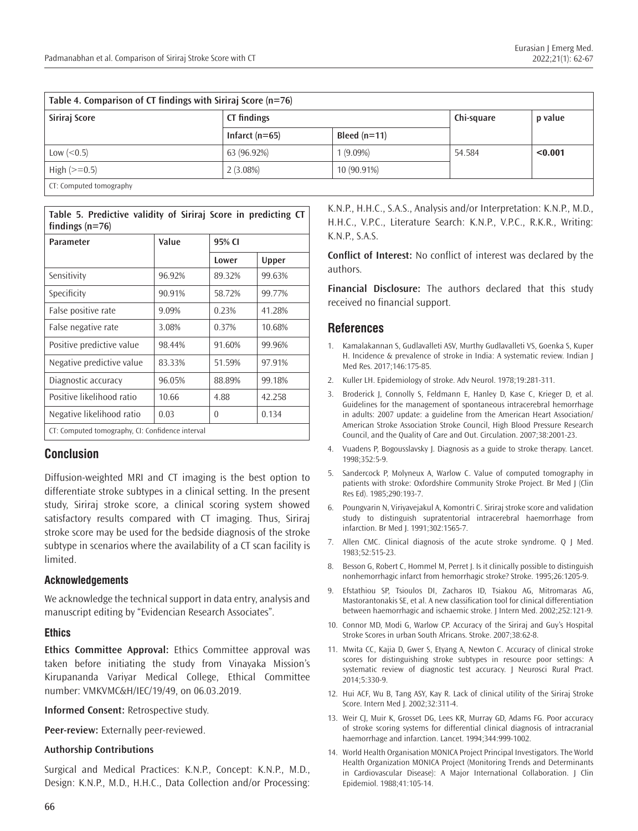| Table 4. Comparison of CT findings with Siriraj Score (n=76) |                  |                |            |         |
|--------------------------------------------------------------|------------------|----------------|------------|---------|
| Siriraj Score                                                | CT findings      |                | Chi-square | p value |
|                                                              | Infarct $(n=65)$ | Bleed $(n=11)$ |            |         |
| Low $(< 0.5)$                                                | 63 (96.92%)      | $1(9.09\%)$    | 54.584     | < 0.001 |
| High $(>=0.5)$                                               | 2(3.08%)         | 10 (90.91%)    |            |         |
| CT: Computed tomography                                      |                  |                |            |         |

**Table 5. Predictive validity of Siriraj Score in predicting CT findings (n=76)**

| <b>Parameter</b>                                 | Value  | 95% CI |        |
|--------------------------------------------------|--------|--------|--------|
|                                                  |        | Lower  | Upper  |
| Sensitivity                                      | 96.92% | 89.32% | 99.63% |
| Specificity                                      | 90.91% | 58.72% | 99.77% |
| False positive rate                              | 9.09%  | 0.23%  | 41.28% |
| False negative rate                              | 3.08%  | 0.37%  | 10.68% |
| Positive predictive value                        | 98.44% | 91.60% | 99.96% |
| Negative predictive value                        | 83.33% | 51.59% | 97.91% |
| Diagnostic accuracy                              | 96.05% | 88.89% | 99.18% |
| Positive likelihood ratio                        | 10.66  | 4.88   | 42.258 |
| Negative likelihood ratio                        | 0.03   | 0      | 0.134  |
| CT: Computed tomography, CI: Confidence interval |        |        |        |

# **Conclusion**

Diffusion-weighted MRI and CT imaging is the best option to differentiate stroke subtypes in a clinical setting. In the present study, Siriraj stroke score, a clinical scoring system showed satisfactory results compared with CT imaging. Thus, Siriraj stroke score may be used for the bedside diagnosis of the stroke subtype in scenarios where the availability of a CT scan facility is limited.

## **Acknowledgements**

We acknowledge the technical support in data entry, analysis and manuscript editing by "Evidencian Research Associates".

#### **Ethics**

**Ethics Committee Approval:** Ethics Committee approval was taken before initiating the study from Vinayaka Mission's Kirupananda Variyar Medical College, Ethical Committee number: VMKVMC&H/IEC/19/49, on 06.03.2019.

**Informed Consent:** Retrospective study.

**Peer-review:** Externally peer-reviewed.

#### **Authorship Contributions**

Surgical and Medical Practices: K.N.P., Concept: K.N.P., M.D., Design: K.N.P., M.D., H.H.C., Data Collection and/or Processing: K.N.P., H.H.C., S.A.S., Analysis and/or Interpretation: K.N.P., M.D., H.H.C., V.P.C., Literature Search: K.N.P., V.P.C., R.K.R., Writing: K.N.P., S.A.S.

**Conflict of Interest:** No conflict of interest was declared by the authors.

**Financial Disclosure:** The authors declared that this study received no financial support.

# **References**

- 1. Kamalakannan S, Gudlavalleti ASV, Murthy Gudlavalleti VS, Goenka S, Kuper H. Incidence & prevalence of stroke in India: A systematic review. Indian J Med Res. 2017;146:175-85.
- 2. Kuller LH. Epidemiology of stroke. Adv Neurol. 1978;19:281-311.
- 3. Broderick J, Connolly S, Feldmann E, Hanley D, Kase C, Krieger D, et al. Guidelines for the management of spontaneous intracerebral hemorrhage in adults: 2007 update: a guideline from the American Heart Association/ American Stroke Association Stroke Council, High Blood Pressure Research Council, and the Quality of Care and Out. Circulation. 2007;38:2001-23.
- 4. Vuadens P, Bogousslavsky J. Diagnosis as a guide to stroke therapy. Lancet. 1998;352:5-9.
- 5. Sandercock P, Molyneux A, Warlow C. Value of computed tomography in patients with stroke: Oxfordshire Community Stroke Project. Br Med J (Clin Res Ed). 1985;290:193-7.
- 6. Poungvarin N, Viriyavejakul A, Komontri C. Siriraj stroke score and validation study to distinguish supratentorial intracerebral haemorrhage from infarction. Br Med J. 1991;302:1565-7.
- 7. Allen CMC. Clinical diagnosis of the acute stroke syndrome. Q J Med. 1983;52:515-23.
- 8. Besson G, Robert C, Hommel M, Perret J. Is it clinically possible to distinguish nonhemorrhagic infarct from hemorrhagic stroke? Stroke. 1995;26:1205-9.
- 9. Efstathiou SP, Tsioulos DI, Zacharos ID, Tsiakou AG, Mitromaras AG, Mastorantonakis SE, et al. A new classification tool for clinical differentiation between haemorrhagic and ischaemic stroke. J Intern Med. 2002;252:121-9.
- 10. Connor MD, Modi G, Warlow CP. Accuracy of the Siriraj and Guy's Hospital Stroke Scores in urban South Africans. Stroke. 2007;38:62-8.
- 11. Mwita CC, Kajia D, Gwer S, Etyang A, Newton C. Accuracy of clinical stroke scores for distinguishing stroke subtypes in resource poor settings: A systematic review of diagnostic test accuracy. J Neurosci Rural Pract. 2014;5:330-9.
- 12. Hui ACF, Wu B, Tang ASY, Kay R. Lack of clinical utility of the Siriraj Stroke Score. Intern Med J. 2002;32:311-4.
- 13. Weir CJ, Muir K, Grosset DG, Lees KR, Murray GD, Adams FG. Poor accuracy of stroke scoring systems for differential clinical diagnosis of intracranial haemorrhage and infarction. Lancet. 1994;344:999-1002.
- 14. World Health Organisation MONICA Project Principal Investigators. The World Health Organization MONICA Project (Monitoring Trends and Determinants in Cardiovascular Disease): A Major International Collaboration. J Clin Epidemiol. 1988;41:105-14.